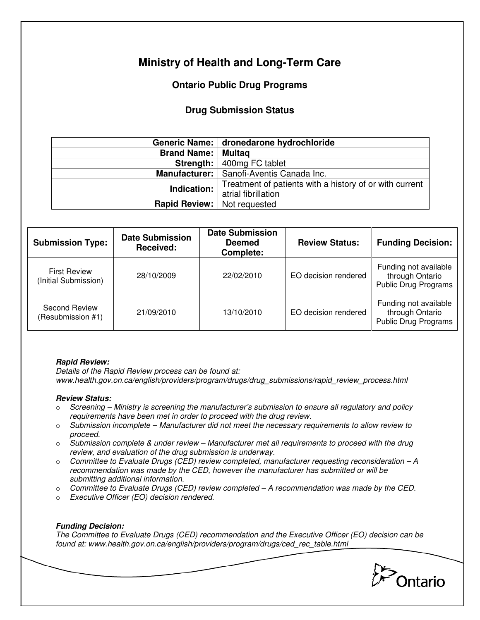# **Ministry of Health and Long-Term Care**

## **Ontario Public Drug Programs**

### **Drug Submission Status**

|                                      | Generic Name: dronedarone hydrochloride                 |  |  |
|--------------------------------------|---------------------------------------------------------|--|--|
| <b>Brand Name: Multag</b>            |                                                         |  |  |
|                                      | <b>Strength:</b> $\vert$ 400mg FC tablet                |  |  |
|                                      | Manufacturer:   Sanofi-Aventis Canada Inc.              |  |  |
| Indication:                          | Treatment of patients with a history of or with current |  |  |
|                                      | atrial fibrillation                                     |  |  |
| <b>Rapid Review:</b>   Not requested |                                                         |  |  |

| <b>Submission Type:</b>                     | <b>Date Submission</b><br><b>Received:</b> | <b>Date Submission</b><br><b>Deemed</b><br><b>Complete:</b> | <b>Review Status:</b> | <b>Funding Decision:</b>                                                |
|---------------------------------------------|--------------------------------------------|-------------------------------------------------------------|-----------------------|-------------------------------------------------------------------------|
| <b>First Review</b><br>(Initial Submission) | 28/10/2009                                 | 22/02/2010                                                  | EO decision rendered  | Funding not available<br>through Ontario<br><b>Public Drug Programs</b> |
| Second Review<br>(Resubmission #1)          | 21/09/2010                                 | 13/10/2010                                                  | EO decision rendered  | Funding not available<br>through Ontario<br><b>Public Drug Programs</b> |

#### **Rapid Review:**

Details of the Rapid Review process can be found at: www.health.gov.on.ca/english/providers/program/drugs/drug\_submissions/rapid\_review\_process.html

#### **Review Status:**

- $\circ$  Screening Ministry is screening the manufacturer's submission to ensure all regulatory and policy requirements have been met in order to proceed with the drug review.
- $\circ$  Submission incomplete Manufacturer did not meet the necessary requirements to allow review to proceed.
- $\circ$  Submission complete & under review Manufacturer met all requirements to proceed with the drug review, and evaluation of the drug submission is underway.
- $\circ$  Committee to Evaluate Drugs (CED) review completed, manufacturer requesting reconsideration A recommendation was made by the CED, however the manufacturer has submitted or will be submitting additional information.
- $\circ$  Committee to Evaluate Drugs (CED) review completed  $-A$  recommendation was made by the CED.
- o Executive Officer (EO) decision rendered.

#### **Funding Decision:**

The Committee to Evaluate Drugs (CED) recommendation and the Executive Officer (EO) decision can be found at: www.health.gov.on.ca/english/providers/program/drugs/ced\_rec\_table.html